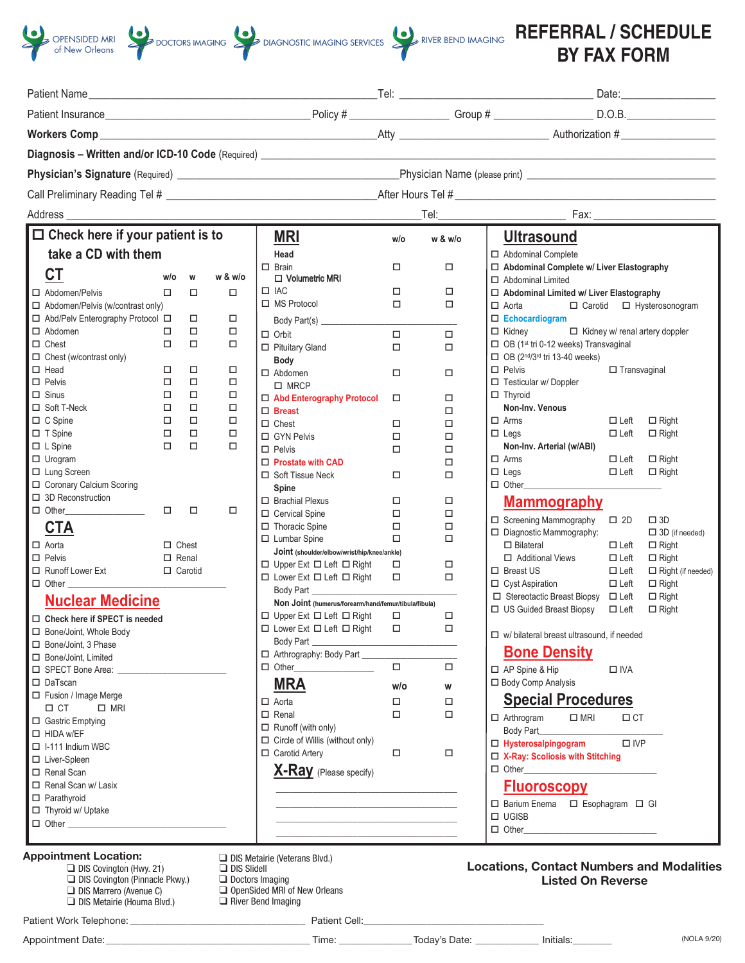

|                                             |                  |                  |                  | Diagnosis - Written and/or ICD-10 Code (Required) ______________________________             |        |                  |                                                                                                             |
|---------------------------------------------|------------------|------------------|------------------|----------------------------------------------------------------------------------------------|--------|------------------|-------------------------------------------------------------------------------------------------------------|
|                                             |                  |                  |                  |                                                                                              |        |                  |                                                                                                             |
|                                             |                  |                  |                  |                                                                                              |        |                  |                                                                                                             |
| Address                                     |                  |                  |                  |                                                                                              |        |                  |                                                                                                             |
| $\Box$ Check here if your patient is to     |                  |                  |                  | <b>MRI</b>                                                                                   | w/o    | w & w/o          | <b>Ultrasound</b>                                                                                           |
| take a CD with them                         |                  |                  |                  | Head                                                                                         |        |                  | □ Abdominal Complete                                                                                        |
| <b>CT</b>                                   | w/o              | W                | w & w/o          | $\Box$ Brain<br>$\Box$ Volumetric MRI                                                        | $\Box$ | $\Box$           | □ Abdominal Complete w/ Liver Elastography                                                                  |
| □ Abdomen/Pelvis                            | $\Box$           | $\Box$           | $\Box$           | $\Box$ IAC                                                                                   | $\Box$ | $\Box$           | $\Box$ Abdominal Limited<br>□ Abdominal Limited w/ Liver Elastography                                       |
| $\Box$ Abdomen/Pelvis (w/contrast only)     |                  |                  |                  | $\Box$ MS Protocol                                                                           | $\Box$ | $\Box$           | $\Box$ Aorta<br>□ Carotid □ Hysterosonogram                                                                 |
| □ Abd/Pelv Enterography Protocol □          |                  | $\Box$           | $\Box$           |                                                                                              |        |                  | $\Box$ Echocardiogram                                                                                       |
| $\Box$ Abdomen                              | $\Box$           | $\Box$           | $\Box$           | $\Box$ Orbit                                                                                 | $\Box$ | $\Box$           | $\Box$ Kidney<br>Kidney w/ renal artery doppler                                                             |
| $\Box$ Chest                                | $\Box$           | $\Box$           | $\Box$           | □ Pituitary Gland                                                                            | $\Box$ | $\Box$           | □ OB (1 <sup>st</sup> tri 0-12 weeks) Transvaginal                                                          |
| $\Box$ Chest (w/contrast only)              |                  |                  |                  | Body                                                                                         |        |                  | $\Box$ OB ( $2^{nd}/3^{rd}$ tri 13-40 weeks)                                                                |
| $\Box$ Head                                 | $\Box$           | $\Box$           | $\Box$           | $\Box$ Abdomen                                                                               | $\Box$ | $\Box$           | $\Box$ Pelvis<br>$\Box$ Transvaginal                                                                        |
| $\Box$ Pelvis                               | $\Box$           | $\Box$           | $\Box$           | $\square$ MRCP                                                                               |        |                  | $\Box$ Testicular w/ Doppler                                                                                |
| $\Box$ Sinus                                | $\Box$           | $\Box$           | $\Box$           | □ Abd Enterography Protocol                                                                  | $\Box$ | $\Box$           | $\Box$ Thyroid                                                                                              |
| □ Soft T-Neck<br>$\Box$ C Spine             | $\Box$<br>$\Box$ | $\Box$<br>$\Box$ | $\Box$<br>$\Box$ | $\Box$ Breast                                                                                |        | $\Box$           | Non-Inv. Venous<br>$\Box$ Arms                                                                              |
| $\Box$ T Spine                              | $\Box$           | $\Box$           | $\Box$           | $\Box$ Chest                                                                                 | $\Box$ | $\Box$           | $\Box$ Left<br>$\Box$ Right<br>$\Box$ Left<br>$\Box$ Right<br>$\Box$ Legs                                   |
| $\Box$ L Spine                              | $\Box$           | $\Box$           | $\Box$           | □ GYN Pelvis                                                                                 | $\Box$ | $\Box$           | Non-Inv. Arterial (w/ABI)                                                                                   |
| $\Box$ Urogram                              |                  |                  |                  | $\Box$ Pelvis                                                                                | $\Box$ | $\Box$           | $\Box$ Right<br>$\Box$ Arms<br>$\Box$ Left                                                                  |
| □ Lung Screen                               |                  |                  |                  | $\Box$ Prostate with CAD                                                                     | $\Box$ | $\Box$<br>$\Box$ | $\Box$ Left $\Box$ Right<br>$\Box$ Legs                                                                     |
| □ Coronary Calcium Scoring                  |                  |                  |                  | □ Soft Tissue Neck<br>Spine                                                                  |        |                  | $\Box$ Other                                                                                                |
| $\Box$ 3D Reconstruction                    |                  |                  |                  | $\Box$ Brachial Plexus                                                                       | $\Box$ | $\Box$           | <b>Mammography</b>                                                                                          |
| $\Box$ Other $\Box$                         | $\Box$           | $\Box$           | $\Box$           | □ Cervical Spine                                                                             | $\Box$ | $\Box$           |                                                                                                             |
| <u>CTA</u>                                  |                  |                  |                  | □ Thoracic Spine                                                                             | $\Box$ | $\Box$           | □ Screening Mammography □ 2D<br>$\square$ 3D                                                                |
|                                             |                  |                  |                  | $\Box$ Lumbar Spine                                                                          | $\Box$ | $\Box$           | □ Diagnostic Mammography:<br>$\Box$ 3D (if needed)                                                          |
| $\Box$ Aorta<br>$\Box$ Pelvis               | $\Box$ Chest     |                  |                  | Joint (shoulder/elbow/wrist/hip/knee/ankle)                                                  |        |                  | $\Box$ Bilateral<br>$\Box$ Left<br>$\Box$ Right                                                             |
| □ Runoff Lower Ext                          | $\Box$ Renal     | $\Box$ Carotid   |                  | $\Box$ Upper Ext $\Box$ Left $\Box$ Right                                                    | $\Box$ | □                | □ Additional Views<br>$\Box$ Left<br>$\Box$ Right<br>$\Box$ Breast US<br>$\Box$ Left<br>□ Right (if needed) |
| $\Box$ Other                                |                  |                  |                  | □ Lower Ext □ Left □ Right □                                                                 |        | $\Box$           | $\Box$ Cyst Aspiration<br>$\Box$ Left<br>$\Box$ Right                                                       |
|                                             |                  |                  |                  | Body Part                                                                                    |        |                  | □ Stereotactic Breast Biopsy □ Left<br>$\Box$ Right                                                         |
| <b>Nuclear Medicine</b>                     |                  |                  |                  | Non Joint (humerus/forearm/hand/femur/tibula/fibula)                                         |        |                  | □ US Guided Breast Biopsy □ Left<br>$\Box$ Right                                                            |
| □ Check here if SPECT is needed             |                  |                  |                  | $\square \ \text{Upper Ext} \ \square \ \text{Left} \ \square \ \text{Right} \qquad \square$ |        | $\Box$           |                                                                                                             |
| □ Bone/Joint, Whole Body                    |                  |                  |                  | $\Box$ Lower Ext $\Box$ Left $\Box$ Right $\Box$<br>Body Part                                |        | $\Box$           | □ w/ bilateral breast ultrasound, if needed                                                                 |
| □ Bone/Joint, 3 Phase                       |                  |                  |                  | □ Arthrography: Body Part                                                                    |        |                  | <b>Bone Density</b>                                                                                         |
| □ Bone/Joint, Limited<br>□ SPECT Bone Area: |                  |                  |                  | $\Box$ Other                                                                                 | $\Box$ | $\Box$           |                                                                                                             |
| □ DaTscan                                   |                  |                  |                  | <b>MRA</b>                                                                                   |        |                  | $\Box$ AP Spine & Hip<br>$\Box$ IVA<br>□ Body Comp Analysis                                                 |
| Fusion / Image Merge                        |                  |                  |                  |                                                                                              | w/o    | W                |                                                                                                             |
| $\Box$ CT<br>$\Box$ MRI                     |                  |                  |                  | $\Box$ Aorta                                                                                 | $\Box$ | $\Box$           | <b>Special Procedures</b>                                                                                   |
| □ Gastric Emptying                          |                  |                  |                  | $\Box$ Renal                                                                                 | $\Box$ | $\Box$           | $\square$ MRI<br>$\Box$ CT<br>$\Box$ Arthrogram                                                             |
| $\Box$ HIDA w/EF                            |                  |                  |                  | $\Box$ Runoff (with only)                                                                    |        |                  | Body Part                                                                                                   |
| $\Box$ I-111 Indium WBC                     |                  |                  |                  | $\Box$ Circle of Willis (without only)                                                       |        |                  | □ Hysterosalpingogram<br>$\square$ IVP                                                                      |
| □ Liver-Spleen                              |                  |                  |                  | □ Carotid Arterv                                                                             | $\Box$ | $\Box$           | □ X-Ray: Scoliosis with Stitching                                                                           |
| Renal Scan                                  |                  |                  |                  | <b>X-Ray</b> (Please specify)                                                                |        |                  | $\Box$ Other                                                                                                |
| $\Box$ Renal Scan w/ Lasix                  |                  |                  |                  |                                                                                              |        |                  | <b>Fluoroscopy</b>                                                                                          |
| $\Box$ Parathyroid                          |                  |                  |                  |                                                                                              |        |                  | □ Barium Enema □ Esophagram □ GI                                                                            |
| $\Box$ Thyroid w/ Uptake                    |                  |                  |                  |                                                                                              |        |                  | $\Box$ UGISB                                                                                                |
|                                             |                  |                  |                  |                                                                                              |        |                  |                                                                                                             |
|                                             |                  |                  |                  |                                                                                              |        |                  |                                                                                                             |

Appointment Date\_\_\_\_\_\_\_\_\_\_\_\_\_\_\_\_\_\_\_\_\_\_\_\_\_\_\_\_\_\_\_\_\_\_\_\_\_ Time\_\_\_\_\_\_\_\_\_\_\_\_\_\_\_\_\_\_\_\_\_\_ Today's Date\_\_\_\_\_\_\_\_\_\_\_\_\_\_\_\_\_ Initials\_\_\_\_\_\_\_\_\_\_ Patient Work Telephone: \_\_\_\_\_\_\_\_\_\_\_\_\_\_\_\_\_\_\_\_\_\_\_\_\_\_\_\_\_\_\_\_\_\_\_\_ Patient Cell:\_\_\_\_\_\_\_\_\_\_\_\_\_\_\_\_\_\_\_\_\_\_\_\_\_\_\_\_\_\_\_\_\_\_\_\_\_ Appointment Date\_\_\_\_\_\_\_\_\_\_\_\_\_\_\_\_\_\_\_\_\_\_\_\_\_\_\_\_\_\_\_\_\_\_\_\_\_ Time\_\_\_\_\_\_\_\_\_\_\_\_\_\_\_\_\_\_\_\_\_\_ Today's Date\_\_\_\_\_\_\_\_\_\_\_\_\_\_\_\_\_ Initials\_\_\_\_\_\_\_\_\_\_ Patient Work Telephone: \_\_\_\_\_\_\_\_\_\_\_\_\_\_\_\_\_\_\_\_\_\_\_\_\_\_\_\_\_\_\_\_\_\_\_\_ Patient Cell:\_\_\_\_\_\_\_\_\_\_\_\_\_\_\_\_\_\_\_\_\_\_\_\_\_\_\_\_\_\_\_\_\_\_\_\_\_ q DIS Covington (Hwy. 21) Patient Work Telephone: \_\_\_\_\_\_\_\_\_\_\_\_\_\_\_\_\_\_\_\_\_\_\_\_\_\_\_\_\_\_\_ Patient Cell: \_\_\_\_\_\_\_\_\_\_\_\_\_\_\_\_\_\_\_\_\_\_\_\_\_\_\_ q DIS Marrero (Avenue C)  $\alpha$  Discreptions.  $\frac{\alpha}{\alpha}$ Appointment Date\_\_\_\_\_\_\_\_\_\_\_\_\_\_\_\_\_\_\_\_\_\_\_\_\_\_\_\_\_\_\_\_\_\_\_\_\_ Time\_\_\_\_\_\_\_\_\_\_\_\_\_\_\_\_\_\_\_\_\_\_ Today's Date\_\_\_\_\_\_\_\_\_\_\_\_\_\_\_\_\_ Initials\_\_\_\_\_\_\_\_\_\_ Patient Work Telephone: \_\_\_\_\_\_\_\_\_\_\_\_\_\_\_\_\_\_\_\_\_\_\_\_\_\_\_\_\_\_\_\_\_\_\_\_ Patient Cell:\_\_\_\_\_\_\_\_\_\_\_\_\_\_\_\_\_\_\_\_\_\_\_\_\_\_\_\_\_\_\_\_\_\_\_\_\_ Appointment Date\_\_\_\_\_\_\_\_\_\_\_\_\_\_\_\_\_\_\_\_\_\_\_\_\_\_\_\_\_\_\_\_\_\_\_\_\_ Time\_\_\_\_\_\_\_\_\_\_\_\_\_\_\_\_\_\_\_\_\_\_ Today's Date\_\_\_\_\_\_\_\_\_\_\_\_\_\_\_\_\_ Initials\_\_\_\_\_\_\_\_\_\_ q River Bend Imaging Patient Work Telephone: \_\_\_\_\_\_\_\_\_\_\_\_\_\_\_\_\_\_\_\_\_\_\_\_\_\_\_\_\_\_\_\_\_\_\_\_ Patient Cell:\_\_\_\_\_\_\_\_\_\_\_\_\_\_\_\_\_\_\_\_\_\_\_\_\_\_\_\_\_\_\_\_\_\_\_\_\_ q Doctors Imaging Patient Work Telephone: \_\_\_\_\_\_\_\_\_\_\_\_\_\_\_\_\_\_\_\_\_\_\_\_\_\_\_\_\_\_\_ Patient Cell: \_\_\_\_\_\_\_\_\_\_\_\_\_\_\_\_\_\_\_\_\_\_\_\_\_\_\_ q Advanced Imaging of Lafayette q Northeast Imaging Patient Work Telephone: \_\_\_\_\_\_\_\_\_\_\_\_\_\_\_\_\_\_\_\_\_\_\_\_\_\_\_\_\_\_\_\_\_\_\_\_ Patient Cell:\_\_\_\_\_\_\_\_\_\_\_\_\_\_\_\_\_\_\_\_\_\_\_\_\_\_\_\_\_\_\_\_\_\_\_\_\_ Appointment Date\_\_\_\_\_\_\_\_\_\_\_\_\_\_\_\_\_\_\_\_\_\_\_\_\_\_\_\_\_\_\_\_\_\_\_\_\_ Time\_\_\_\_\_\_\_\_\_\_\_\_\_\_\_\_\_\_\_\_\_\_ Today's Date\_\_\_\_\_\_\_\_\_\_\_\_\_\_\_\_\_ Initials\_\_\_\_\_\_\_\_\_\_ Patient Work Telephone: \_\_\_\_\_\_\_\_\_\_\_\_\_\_\_\_\_\_\_\_\_\_\_\_\_\_\_\_\_\_\_\_\_\_\_\_ Patient Cell:\_\_\_\_\_\_\_\_\_\_\_\_\_\_\_\_\_\_\_\_\_\_\_\_\_\_\_\_\_\_\_\_\_\_\_\_\_ q DIS Marrero (Wichers Dr.) Appointment Date:\_\_\_\_\_\_\_\_\_\_\_\_\_\_\_\_\_\_\_\_\_\_\_\_\_\_\_\_\_\_\_\_\_\_\_\_\_\_\_\_\_\_ Time: \_\_\_\_\_\_\_\_\_\_\_\_\_\_\_Today's Date: \_\_\_\_\_\_\_\_\_\_\_\_\_ Initials:\_\_\_\_\_\_\_\_ Appointment Date:\_\_\_\_\_\_\_\_\_\_\_\_\_\_\_\_\_\_\_\_\_\_\_\_\_\_\_\_\_\_\_\_\_\_\_\_\_\_\_\_\_\_ Time: \_\_\_\_\_\_\_\_\_\_\_\_\_\_\_Today's Date: \_\_\_\_\_\_\_\_\_\_\_\_\_ Initials:\_\_\_\_\_\_\_\_ (NOLA 9/20) Appointment Date\_\_\_\_\_\_\_\_\_\_\_\_\_\_\_\_\_\_\_\_\_\_\_\_\_\_\_\_\_\_\_\_\_\_\_\_\_ Time\_\_\_\_\_\_\_\_\_\_\_\_\_\_\_\_\_\_\_\_\_\_ Today's Date\_\_\_\_\_\_\_\_\_\_\_\_\_\_\_\_\_ Initials\_\_\_\_\_\_\_\_\_\_ Approximation Date and Date and Date and Date and Date and Date and Date and Date and Date and Date and Date and Date and Date and Date and Date and Date and Date and Date and Date and Date and Date and Date and Date and D Appointment Date: MOLA<br>Appointment Date: Time: Today's Date: Pate: Philippe Philippe Philippe Philippe Philippe Philippe Philippe Philippe Philippe Philippe Philippe Philippe Philippe Philippe Philippe Philippe Philippe Ph

 $\Box$  DIS Metal

 $\Box$  DIS Metairie (Houma Blvd.)

 $\Box$  DIS Metairie (Houma BIv

 $\Box$  DIS Metairie (Houma Blvd

DIS Metairie (Houma Blvd.)  $\alpha = 1$ 

 $\Box$  DIS Marrero (Avenue C)  $\Box$  DIS Metairie (Houma Blvd.)

Patient Work Telephone: \_\_\_\_\_\_\_\_\_\_\_\_\_\_\_\_\_\_\_\_\_\_\_\_\_\_\_\_\_\_\_ Patient Cell: \_\_\_\_\_\_\_\_\_\_\_\_\_\_\_\_\_\_\_\_\_\_\_\_\_\_\_

Marrero (Avenue C) (Houma Bl

Marrero (Avenue C) Meranie (Homina Divo

| auun v |  |
|--------|--|
|        |  |
|        |  |
| Tima.  |  |

 $\blacksquare$  Do motano prodinte Drug $\blacksquare$  Time:  $\blacksquare$  Time:  $\blacksquare$  Date: analysis

nd Imaging

 $\Box$  River Bend Imaging

Northeast Imaging

 $\Box$  River bell

q Doctors Imaging

<del>q Northeast Imaging</del>

 $P_n(t) \geq P_n(t)$  Telephone:  $P_n(t) \geq P_n(t) \geq P_n(t)$ .  $P_n(t) \geq P_n(t)$ .  $Q_n(t)$ 

 $\Box$  DIS Metairie (Houma Blvd.)  $\Box$  River Bend Imaging

River Bend Imaging

 $\Box$  OpenSided MRI of New Orleans  $\Box$  DIS Metairie (Houma Blvd.)  $\Box$  River Bend Imaging

Appoint Mark Telephone:<br>  $\blacksquare$ 

 $\mathcal{A}_\mathcal{A}$  , and the date of  $\mathcal{A}_\mathcal{A}$  and  $\mathcal{A}_\mathcal{A}$  and  $\mathcal{A}_\mathcal{A}$  and  $\mathcal{A}_\mathcal{A}$  and  $\mathcal{A}_\mathcal{A}$  and  $\mathcal{A}_\mathcal{A}$  and  $\mathcal{A}_\mathcal{A}$  and  $\mathcal{A}_\mathcal{A}$  and  $\mathcal{A}_\mathcal{A}$  and  $\mathcal{A}_\mathcal{A}$ 

q M.R. Imaging Systems

 $Patient Cell:$ 

 $\Box$  Hiver Bend Imaging

 $\blacksquare$  Times both a final group